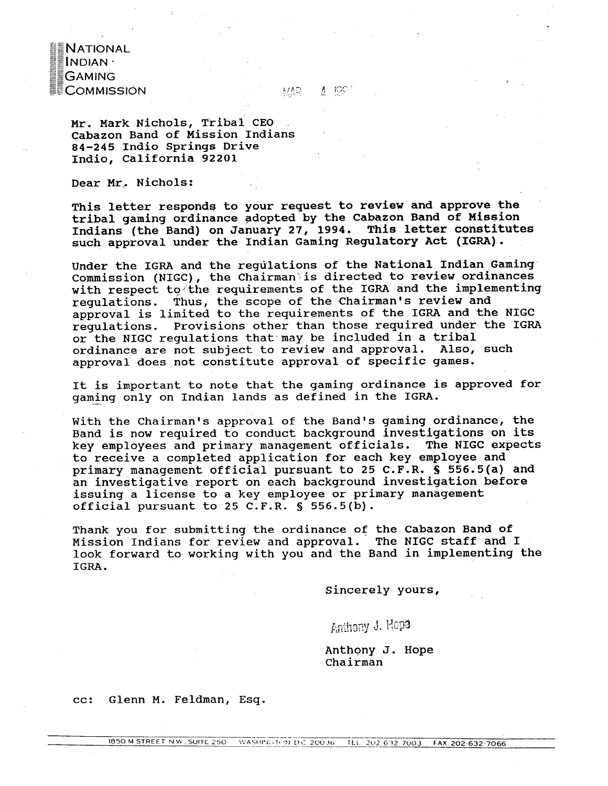**NATIONAL**  $\blacksquare$ INDIAN $\cdot$ I≣GAMING **ECOMMISSIÓN** 

 $A$  100 **MAR** 

Mr. Mark Nichols, Tribal CEO. Cabazon Band of Mission Indians **84-245** Indio Springs Drive Indio, California 92201

Dear **Mr..** Nichols:

This letter responds to your request to review and approve the tribal gaming ordinance adopted by the Cabazon Band of Mission Indians (the Band) on January **27,** 1994. This letter constitutes such approval under the Indian Gaming Regulatory **Act** (IGRA).

Under the IGRA and the regulations of the National Indian Gaming Commission (NIGC), the Chairman'is directed to review ordinances with respect to the requirements of the IGRA and the implementing regulations. Thus, the scope of the Chairman's review and approval is limited to the requirements of the IGRA and the NIGC regulations. Provisions other than those required under the IGRA or the **NIGC** regulations that.may be included in a tribal ordinance are not subject to review and approval. Also, such approval does not constitute approval of specific games.

It is important to note that the gaming ordinance is approved for gaming only on Indian lands as defined in the IGRA.

With the Chairman's approval of the Band's gaming ordinance, the Band is now required to conduct background investigations on its key employees and primary management officials. The NIGC expects to receive a completed application for each key employee and primary management official pursuant to 25 C.F.R. **S** 556.5(a) and an investigative report on each background investigation before issuing a license to a key employee or primary management official pursuant to 25 C.F.R. **S** 556.5(b).

Thank you for submitting the ordinance of the Cabazon Band of Mission Indians for revlew and approval. The NIGC staff and I look forward to working with you and the Band in implementing the **IGRA.** 

sincerely yours,

Anthony J. HOP3

Anthony J. Hope Chairman

cc: Glenn M. Feldman, Esq.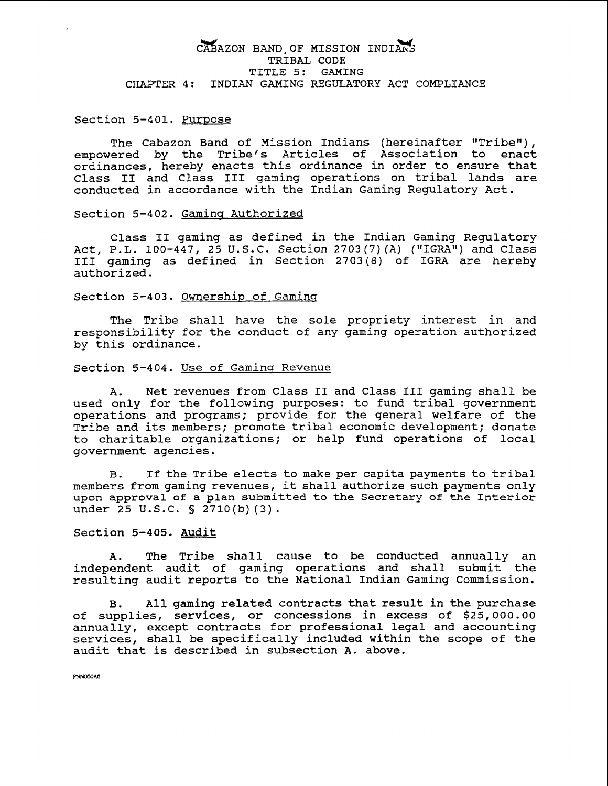## CABAZON BAND OF MISSION INDIANS TRIBAL CODE TITLE 5: GAMING CHAPTER 4: INDIAN GAMING REGULATORY ACT COMPLIANCE

Section 5-401. Purpose

The Cabazon Band of Mission Indians (hereinafter "Tribe"), empowered by the Tribe's Articles of Association to enact ordinances, hereby enacts this ordinance in order to ensure that Class I1 and Class I11 gaming operations on tribal lands are conducted in accordance with the Indian Gaming Regulatory **Act.** 

Section 5-402. Gaming Authorized

Class I1 gaming as defined in the Indian Gaming Regulatory Act, P.L. 100-447, 25 U.S.C. Section 2703(7)(A) ("IGRA") and Class I11 gaming as defined in Section 2703 (8) of IGM are hereby authorized.

#### Section 5-403. Ownership of Gaminq

The Tribe shall have the sole propriety interest in and responsibility for the conduct of any gaming operation authorized by this ordinance.

Section 5-404. Use of Gaming Revenue

A. Net revenues from Class I1 and Class I11 gaming shall be used only for the following purposes: to fund tribal government operations and programs; provide for the general welfare of the Tribe and its members; promote tribal economic development; donate to charitable organizations; or help fund operations of local government agencies.

**B.** If the Tribe elects to make per capita payments to tribal members from gaming revenues, it shall authorize such payments only upon approval of a plan submitted to the Secretary of the Interior under 25 U.S.C. § 2710(b)(3).

#### Section 5-405. Audit

A. The Tribe shall cause to be conducted annually an independent audit of gaming operations and shall submit the resulting audit reports to the National Indian Gaming Commission.

**B.** All gaming related contracts that result in the purchase of supplies, services, or concessions in excess of \$25,000.00 annually, except contracts for professional legal and accounting services, shall be specifically included within the scope of the audit that is described in subsection A. above.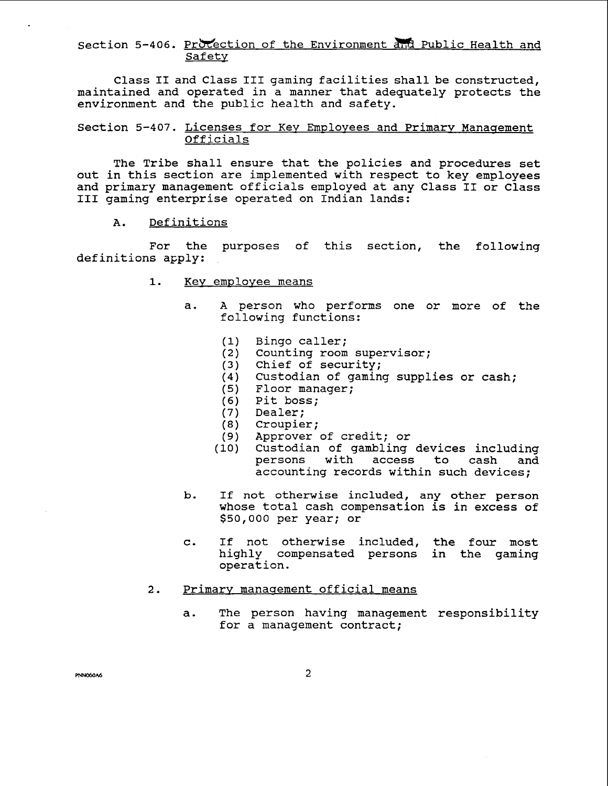## Section 5-406. Protection of the Environment and Public Health and Safety

Class I1 and Class I11 gaming facilities shall be constructed, maintained and operated in a manner that adequately protects the environment and the public health and safety.

## Section 5-407. Licenses for Key Employees and Primary Management Officials

The Tribe shall ensure that the policies and procedures set out in this section are implemented with respect to key employees and primary management officials employed at any Class I1 or Class III gaming enterprise operated on Indian lands:

#### Definitions  $A.$

For the purposes of this section, the following definitions apply:

- 1. Key employee means
	- a. A person who performs one or more of the following functions:
		- $(1)$ Bingo caller;
		- (2) Counting room supervisor;
		- Chief of security;
		- Custodian of gaming supplies or cash;
		- Floor manager;
		- (6) Pit boss;
		- (7) Dealer;
		- Croupier;
		- Approver of credit; or
		- (10) Custodian of gambling devices including persons with access to cash and accounting records within such devices;
	- b. If not otherwise included, any other person whose total cash compensation is in excess of \$50,000 per year; or
	- c. If not otherwise included, the four most highly compensated persons in the gaming operation.

#### Primary management official means  $2.$

a. The person having management responsibility for a management contract;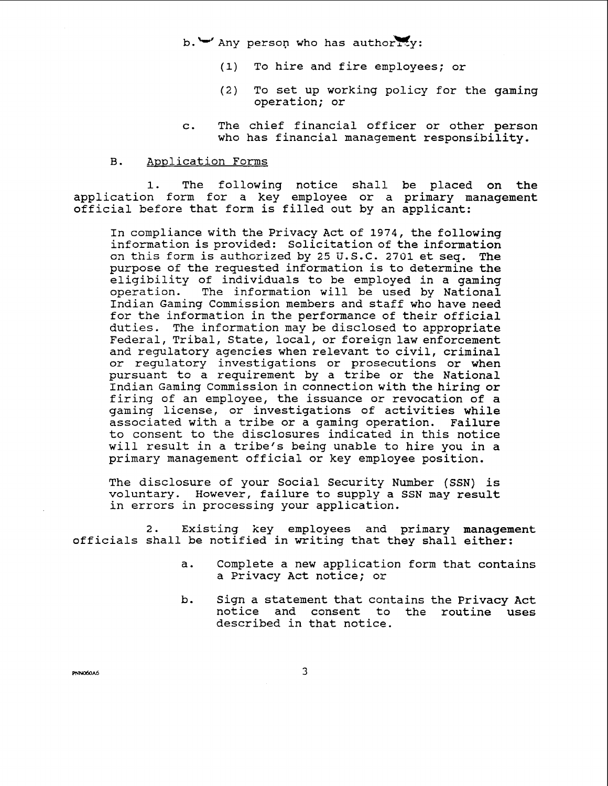$b.$  W Any person who has authority:

- (1) To hire and fire employees; or
- (2) To set up working policy for the gaming operation; or
- c. The chief financial officer or other person who has financial management responsibility.

#### Application Forms  $B.$

1. The followinq notice shall be placed on the application form for a key employee or a primary management official before that form is filled out by an applicant:

In compliance with the Privacy Act of 1974, the following information is provided: Solicitation of the information on this form is authorized by 25 **U.** S.C. 2701 et seq. The purpose of the requested information is to determine the eligibility of individuals to be employed in a gaming<br>operation. The information will be used by National The information will be used by National Indian Gaming Commission members and staff who have need for the information in the performance of their official duties. The information may be disclosed to appropriate Federal, Tribal, State, local, or foreign law enforcement and regulatory agencies when relevant to civil, criminal or regulatory investigations or prosecutions or when pursuant to a requirement by a tribe or the National Indian Gaming Commission in connection with the hiring or firing of an employee, the issuance or revocation of a gaming license, or investigations of activities while associated with a tribe or a gaming operation. Failure to consent to the disclosures indicated in this notice will result in a tribe's being unable to hire you in a primary management official or key employee position.

The disclosure of your Social Security Number (SSN) is voluntary. However, failure to supply a SSN may result in errors in processing your application.

2. Existing key employees and primary management officials shall be notified in writing that they shall either:

- a. Complete a new application form that contains a Privacy Act notice; or
- b. Sign a statement that contains the Privacy Act notice and consent to the routine uses described in that notice.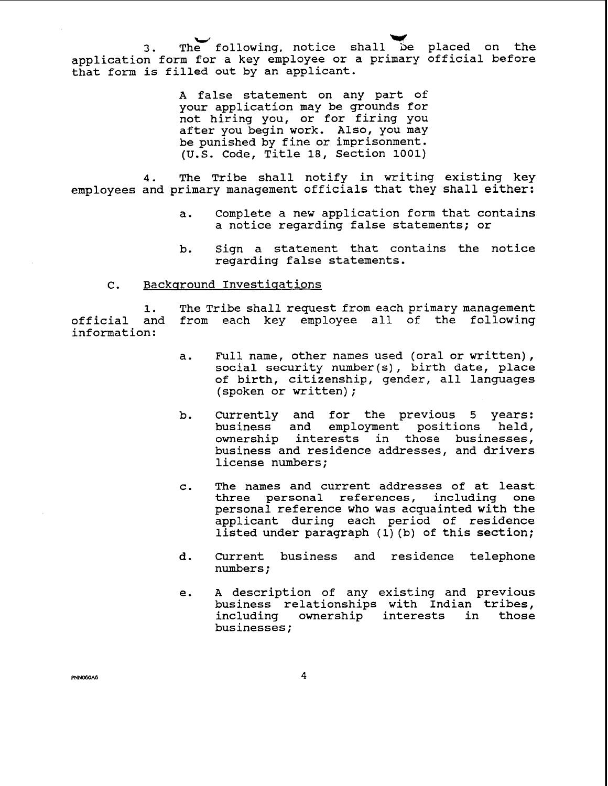3. The following, notice shall be placed on the application form for a key employee or a primary official before that form is filled out by an applicant.

> A false statement on any part of your application may be grounds for not hiring you, or for firing you after you begin work. Also, you may be punished by fine or imprisonment. (U.S. Code, Title 18, Section 1001)

4. The Tribe shall notify in writing existing key employees and primary management officials that they shall either:

- a. Complete a new application form that contains a notice regarding false statements; or
- b. Sign a statement that contains the notice regarding false statements.

## C. Background Investigations

**1.** The Tribe shall request from each primary management official and from each key employee all of the following information:

- a. Full name, other names used (oral or written), social security number(s), birth date, place of birth, citizenship, gender, all languages (spoken or written) ;
- b. Currently and for the previous 5 years: business and employment positions held, ownership interests in those businesses, business and residence addresses, and drivers license numbers;
- c. The names and current addresses of at least three personal references, including one personal reference who was acquainted with the applicant during each period of residence listed under paragraph (1) (b) of this section;
- d. Current business and residence telephone Current business
- e. A description of any existing and previous business relationships with Indian tribes, including ownership interests in those businesses;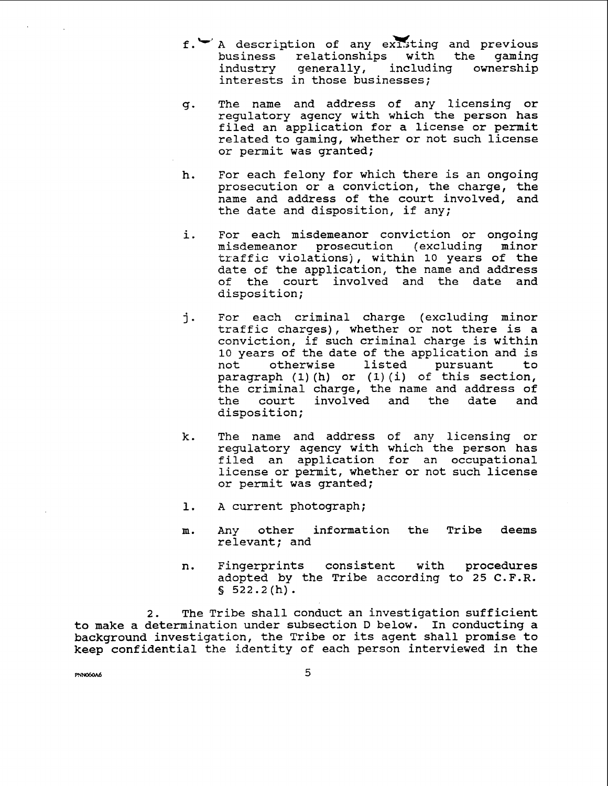- f. <sup>1</sup> A description of any existing and previous<br>business relationships with the gaming business relationships with the<br>industry generally, including own generally, including ownership interests in those businesses;
- g. The name and address of any licensing or regulatory agency with which the person has filed an application for a license or permit related to gaming, whether or not such license or permit was granted;
- h. For each felony for which there is an ongoing prosecution or a conviction, the charge, the name and address of the court involved, and the date and disposition, if any;
- i. For each misdemeanor conviction or ongoing misdemeanor prosecution (excluding minor traffic violations), within 10 years of the date of the application, the name and address<br>of the court involved and the date and of the court involved and the date disposition;
- j. For each criminal charge (excluding minor traffic charges) , whether or not there is a conviction, if such criminal charge is within 10 years of the date of the application and is<br>not otherwise listed pursuant to not otherwise listed pursuant to paragraph **(1)** (h) or (1) (i) of this section, the criminal charge, the name and address of the court involved and the date and disposition;
- k. The name and address of any licensing or regulatory agency with which the person has filed an application for an occupational license or permit, whether or not such license or permit was granted;
- 1. A current photograph;
- m. Any other information the Tribe deems relevant; and
- n. Fingerprints consistent with procedures adopted by the Tribe according to 25 C.F.R.  $$522.2(h).$

**2.** The Tribe shall conduct an investigation sufficient to make a determination under subsection D below. In conducting a background investigation, the Tribe or its agent shall promise to keep confidential the identity of each person interviewed in the

**PNN060A6**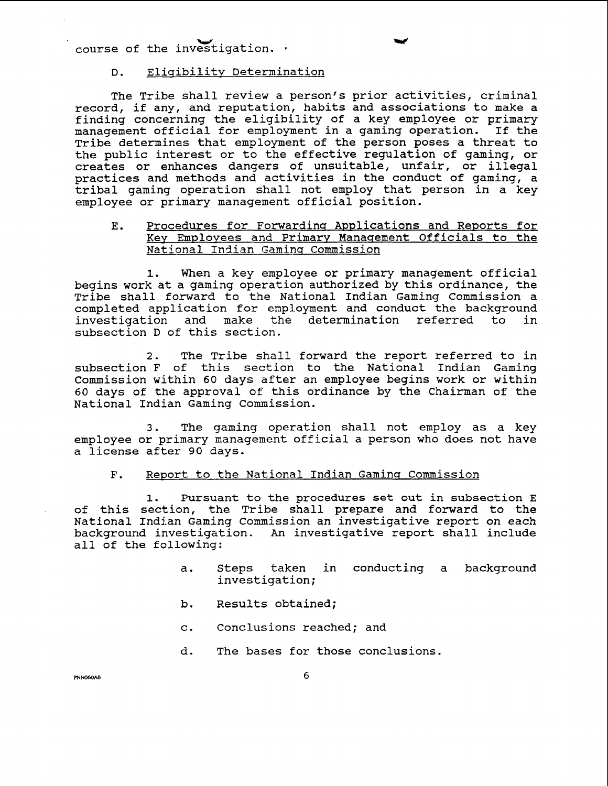**w w**  course of the investigation. \*

## D. Eliqibilitv Determination

The Tribe shall review a person's prior activities, criminal record, if any, and reputation, habits and associations to make a finding concerning the eligibility of a key employee or primary management official for employment in a gaming operation. If the Tribe determines that employment of the person poses a threat to the public interest or to the effective regulation of gaming, or creates or enhances dangers of unsuitable, unfair, or illegal practices and methods and activities in the conduct of gaming, a tribal gaming operation shall not employ that person in a key employee or primary management official position.

### E. Procedures for Forwarding Applications and Reports for Key Employees and Primary Management Officials to the National Indian Gaming Commission

1. When a key employee or primary management official begins work at a gaming operation authorized by this ordinance, the Tribe shall forward to the National Indian Gaming Commission a completed application for employment and conduct the background investigation and make the determination referred to in subsection D of this section.

2. The Tribe shall forward the report referred to in subsection F of this section to the National Indian Gaming commission within 60 days after an employee begins work or within 60 days of the approval of this ordinance by the Chairman of the National Indian Gaming Commission.

3. The gaming operation shall not employ as a key employee or primary management official a person who does not have a license after 90 days.

#### F. Report to the National Indian Gaming Commission

1. Pursuant to the procedures set out in subsection **E**  of this section, the Tribe shall prepare and forward to the National Indian Gaming Commission an investigative report on each background investigation. An investigative report shall include all of the following:

- a. Steps taken in conducting a background investigation;
- b. Results obtained;
- c. Conclusions reached; and
- d. The bases for those conclusions.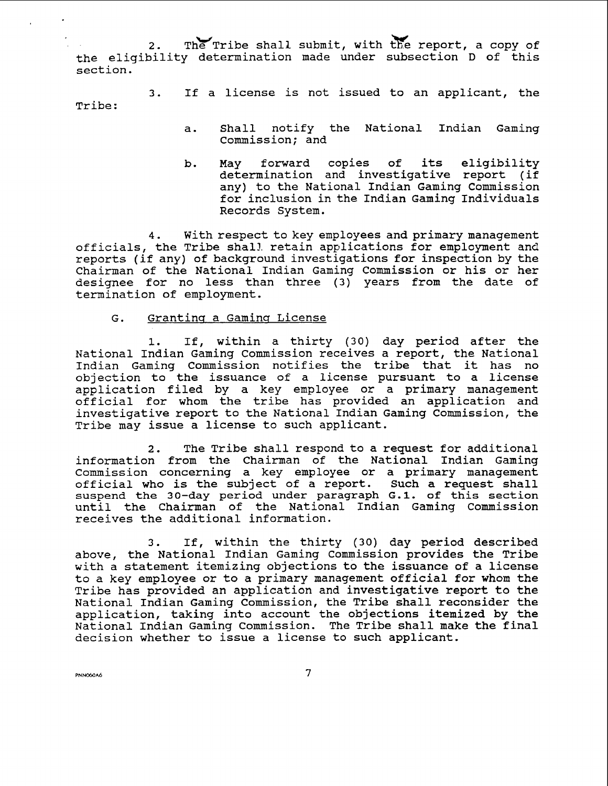2. The Tribe shall submit, with the report, a copy of the eligibility determination made under subsection D of this section.

3. If a license is not issued to an applicant, the Tribe:

- a. Shall notify the National Indian Gaming Commission; and
- b. May forward copies of its eligibility determination and investigative report (if any) to the National Indian Gaming Commission for inclusion in the Indian Gaming Individuals Records System.

**4.** With respect to key employees and primary management officials, the Tribe shall retain applications for employment and reports (if any) of background investigations for inspection by the Chairman of the National Indian Gaming Commission or his or her designee for no less than three (3) years from the date of termination of employment.

## G. Granting a Gaming License

1. If, within a thirty (30) day period after the National Indian Gaming Commission receives a report, the National Indian Gaming Commission notifies the tribe that it has no objection to the issuance of a license pursuant to a license application filed by a key employee or a primary management official for whom the tribe has provided an application and investigative report to the National Indian Gaming Commission, the Tribe may issue a license to such applicant.

**2.** The Tribe shall respond to a request for additional information from the Chairman of the National Indian Gaming Commission concerning a key employee or a primary management official who is the subject of a report. Such a request shall **suspend the 30-day period under paragraph G.1. of this section**  until the Chairman of the National Indian Gaming Commission receives the additional information.

3. If, within the thirty (30) day period described above, the National Indian Gaming Commission provides the Tribe with a statement itemizing objections to the issuance of a license to a key employee or to a primary management official for whom the Tribe has provided an application and investigative report to the National Indian Gaming Commission, the Tribe shall reconsider the application, taking into account the objections itemized by the National Indian Gaming Commission. The Tribe shall make the final decision whether to issue a license to such applicant.